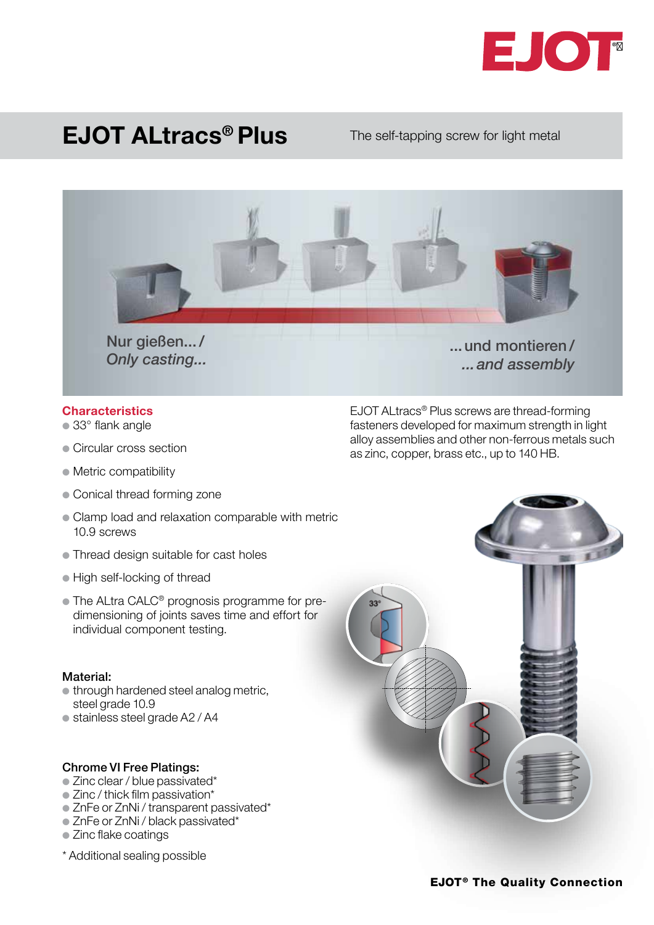

## EJOT ALtracs® Plus

#### The self-tapping screw for light metal



*...and assembly* 

#### **Characteristics**

- $\bullet$  33 $^{\circ}$  flank angle
- Circular cross section
- $\bullet$  Metric compatibility
- Conical thread forming zone
- Clamp load and relaxation comparable with metric 10.9 screws
- Thread design suitable for cast holes
- **High self-locking of thread**
- The ALtra CALC<sup>®</sup> prognosis programme for predimensioning of joints saves time and effort for individual component testing.

#### Material:

- $\bullet$  through hardened steel analog metric, steel grade 10.9
- $\bullet$  stainless steel grade A2 / A4

#### Chrome VI Free Platings:

- $\bullet$  Zinc clear / blue passivated\*
- $\bullet$  Zinc / thick film passivation\*
- $\bullet$  ZnFe or ZnNi / transparent passivated\*
- ZnFe or ZnNi / black passivated\*
- Zinc flake coatings
- \* Additional sealing possible

EJOT ALtracs® Plus screws are thread-forming fasteners developed for maximum strength in light alloy assemblies and other non-ferrous metals such as zinc, copper, brass etc., up to 140 HB.